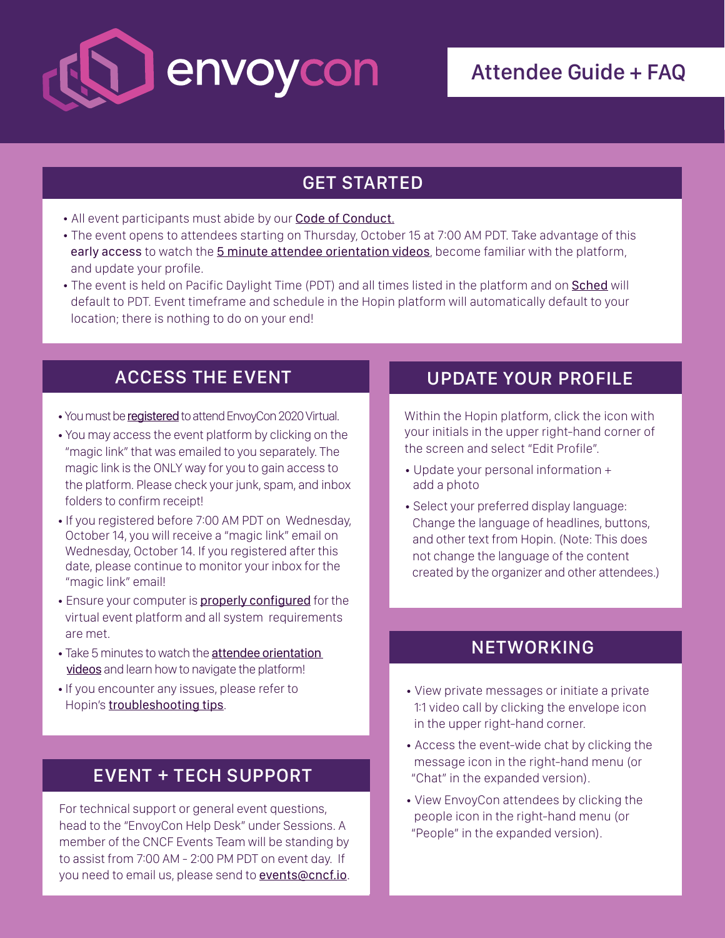

# Attendee Guide + FAQ

### GET STARTED

- All event participants must abide by our [Code of Conduct](https://events.linuxfoundation.org/envoycon/attend/code-of-conduct/).
- The event opens to attendees starting on Thursday, October 15 at 7:00 AM PDT. Take advantage of this early access to watch the [5 minute attendee orientation videos](https://www.notion.so/How-to-use-Hopin-as-an-attendee-orientation-videos-889933555e7e4b63aa946c51bb893045), become familiar with the platform, and update your profile.
- The event is held on Pacific Daylight Time (PDT) and all times listed in the platform and on [Sched](https://envoycon2020.sched.com/?iframe=no) will default to PDT. Event timeframe and schedule in the Hopin platform will automatically default to your location; there is nothing to do on your end!

- You must be [registered](https://events.linuxfoundation.org/envoycon/register/) to attend EnvoyCon 2020 Virtual.
- You may access the event platform by clicking on the "magic link" that was emailed to you separately. The magic link is the ONLY way for you to gain access to the platform. Please check your junk, spam, and inbox folders to confirm receipt!
- If you registered before 7:00 AM PDT on Wednesday, October 14, you will receive a "magic link" email on Wednesday, October 14. If you registered after this date, please continue to monitor your inbox for the "magic link" email!
- Ensure your computer is **[properly configured](https://www.notion.so/Attendee-Quick-Reference-Guide-Troubleshooting-Tips-6018216997fc4bd0a63f32f173fc14cf)** for the virtual event platform and all system requirements are met.
- Take 5 minutes to watch the [attendee orientation](https://www.notion.so/How-to-use-Hopin-as-an-attendee-orientation-videos-889933555e7e4b63aa946c51bb893045)   [videos](https://www.notion.so/How-to-use-Hopin-as-an-attendee-orientation-videos-889933555e7e4b63aa946c51bb893045) and learn how to navigate the platform!
- If you encounter any issues, please refer to Hopin's **[troubleshooting tips](https://www.notion.so/Attendee-Quick-Reference-Guide-Troubleshooting-Tips-6018216997fc4bd0a63f32f173fc14cf)**.

### EVENT + TECH SUPPORT

For technical support or general event questions, head to the "EnvoyCon Help Desk" under Sessions. A member of the CNCF Events Team will be standing by to assist from 7:00 AM - 2:00 PM PDT on event day. If you need to email us, please send to [events@cncf.io](mailto:events@cncf.io).

### ACCESS THE EVENT UPDATE YOUR PROFILE

Within the Hopin platform, click the icon with your initials in the upper right-hand corner of the screen and select "Edit Profile".

- Update your personal information + add a photo
- Select your preferred display language: Change the language of headlines, buttons, and other text from Hopin. (Note: This does not change the language of the content created by the organizer and other attendees.)

### **NETWORKING**

- View private messages or initiate a private 1:1 video call by clicking the envelope icon in the upper right-hand corner.
- Access the event-wide chat by clicking the message icon in the right-hand menu (or "Chat" in the expanded version).
- View EnvoyCon attendees by clicking the people icon in the right-hand menu (or "People" in the expanded version).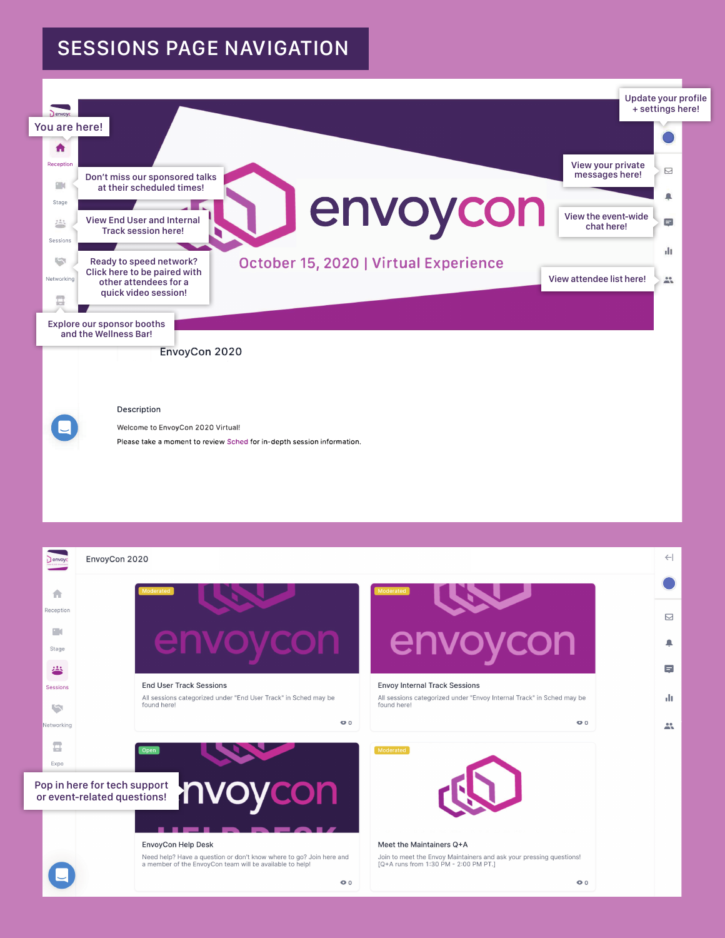# SESSIONS PAGE NAVIGATION



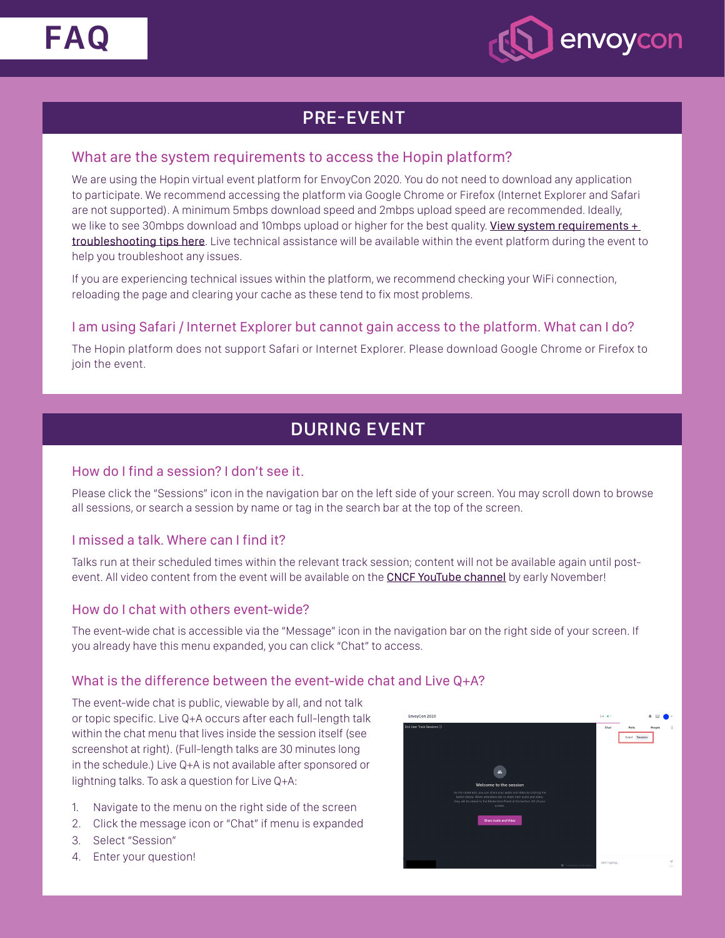



## PRE-EVENT

#### What are the system requirements to access the Hopin platform?

We are using the Hopin virtual event platform for EnvoyCon 2020. You do not need to download any application to participate. We recommend accessing the platform via Google Chrome or Firefox (Internet Explorer and Safari are not supported). A minimum 5mbps download speed and 2mbps upload speed are recommended. Ideally, we like to see 30mbps download and 10mbps upload or higher for the best quality. View system requirements  $+$ [troubleshooting tips here](https://www.notion.so/Attendee-Quick-Reference-Guide-Troubleshooting-Tips-6018216997fc4bd0a63f32f173fc14cf). Live technical assistance will be available within the event platform during the event to help you troubleshoot any issues.

If you are experiencing technical issues within the platform, we recommend checking your WiFi connection, reloading the page and clearing your cache as these tend to fix most problems.

#### I am using Safari / Internet Explorer but cannot gain access to the platform. What can I do?

The Hopin platform does not support Safari or Internet Explorer. Please download Google Chrome or Firefox to join the event.

## DURING EVENT

#### How do I find a session? I don't see it.

Please click the "Sessions" icon in the navigation bar on the left side of your screen. You may scroll down to browse all sessions, or search a session by name or tag in the search bar at the top of the screen.

#### I missed a talk. Where can I find it?

Talks run at their scheduled times within the relevant track session; content will not be available again until postevent. All video content from the event will be available on the **[CNCF YouTube channel](https://www.youtube.com/channel/UCvqbFHwN-nwalWPjPUKpvTA)** by early November!

#### How do I chat with others event-wide?

The event-wide chat is accessible via the "Message" icon in the navigation bar on the right side of your screen. If you already have this menu expanded, you can click "Chat" to access.

#### What is the difference between the event-wide chat and Live Q+A?

The event-wide chat is public, viewable by all, and not talk or topic specific. Live Q+A occurs after each full-length talk within the chat menu that lives inside the session itself (see screenshot at right). (Full-length talks are 30 minutes long in the schedule.) Live Q+A is not available after sponsored or lightning talks. To ask a question for Live Q+A:

- 1. Navigate to the menu on the right side of the screen
- 2. Click the message icon or "Chat" if menu is expanded
- 3. Select "Session"
- 4. Enter your question!